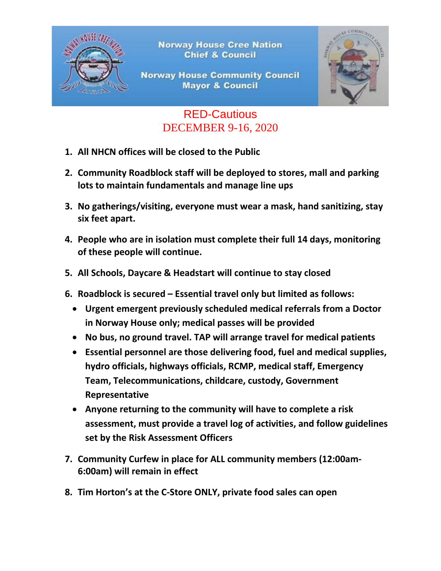

**Norway House Cree Nation Chief & Council** 

## **Norway House Community Council Mayor & Council**



## RED-Cautious DECEMBER 9-16, 2020

- **1. All NHCN offices will be closed to the Public**
- **2. Community Roadblock staff will be deployed to stores, mall and parking lots to maintain fundamentals and manage line ups**
- **3. No gatherings/visiting, everyone must wear a mask, hand sanitizing, stay six feet apart.**
- **4. People who are in isolation must complete their full 14 days, monitoring of these people will continue.**
- **5. All Schools, Daycare & Headstart will continue to stay closed**
- **6. Roadblock is secured – Essential travel only but limited as follows:**
	- **Urgent emergent previously scheduled medical referrals from a Doctor in Norway House only; medical passes will be provided**
	- **No bus, no ground travel. TAP will arrange travel for medical patients**
	- **Essential personnel are those delivering food, fuel and medical supplies, hydro officials, highways officials, RCMP, medical staff, Emergency Team, Telecommunications, childcare, custody, Government Representative**
	- **Anyone returning to the community will have to complete a risk assessment, must provide a travel log of activities, and follow guidelines set by the Risk Assessment Officers**
- **7. Community Curfew in place for ALL community members (12:00am-6:00am) will remain in effect**
- **8. Tim Horton's at the C-Store ONLY, private food sales can open**